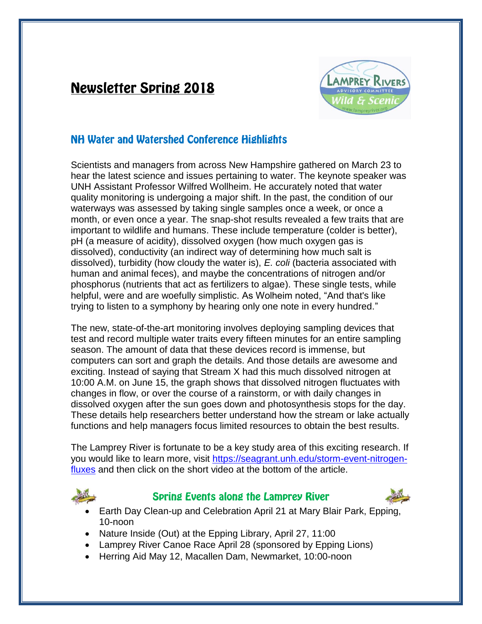# **Newsletter Spring 2018**



## **NH Water and Watershed Conference Highlights**

Scientists and managers from across New Hampshire gathered on March 23 to hear the latest science and issues pertaining to water. The keynote speaker was UNH Assistant Professor Wilfred Wollheim. He accurately noted that water quality monitoring is undergoing a major shift. In the past, the condition of our waterways was assessed by taking single samples once a week, or once a month, or even once a year. The snap-shot results revealed a few traits that are important to wildlife and humans. These include temperature (colder is better), pH (a measure of acidity), dissolved oxygen (how much oxygen gas is dissolved), conductivity (an indirect way of determining how much salt is dissolved), turbidity (how cloudy the water is), *E. coli* (bacteria associated with human and animal feces), and maybe the concentrations of nitrogen and/or phosphorus (nutrients that act as fertilizers to algae). These single tests, while helpful, were and are woefully simplistic. As Wolheim noted, "And that's like trying to listen to a symphony by hearing only one note in every hundred."

The new, state-of-the-art monitoring involves deploying sampling devices that test and record multiple water traits every fifteen minutes for an entire sampling season. The amount of data that these devices record is immense, but computers can sort and graph the details. And those details are awesome and exciting. Instead of saying that Stream X had this much dissolved nitrogen at 10:00 A.M. on June 15, the graph shows that dissolved nitrogen fluctuates with changes in flow, or over the course of a rainstorm, or with daily changes in dissolved oxygen after the sun goes down and photosynthesis stops for the day. These details help researchers better understand how the stream or lake actually functions and help managers focus limited resources to obtain the best results.

The Lamprey River is fortunate to be a key study area of this exciting research. If you would like to learn more, visit [https://seagrant.unh.edu/storm-event-nitrogen](https://seagrant.unh.edu/storm-event-nitrogen-fluxes)[fluxes](https://seagrant.unh.edu/storm-event-nitrogen-fluxes) and then click on the short video at the bottom of the article.



### **Spring Events along the Lamprey River**



- Earth Day Clean-up and Celebration April 21 at Mary Blair Park, Epping, 10-noon
- Nature Inside (Out) at the Epping Library, April 27, 11:00
- Lamprey River Canoe Race April 28 (sponsored by Epping Lions)
- Herring Aid May 12, Macallen Dam, Newmarket, 10:00-noon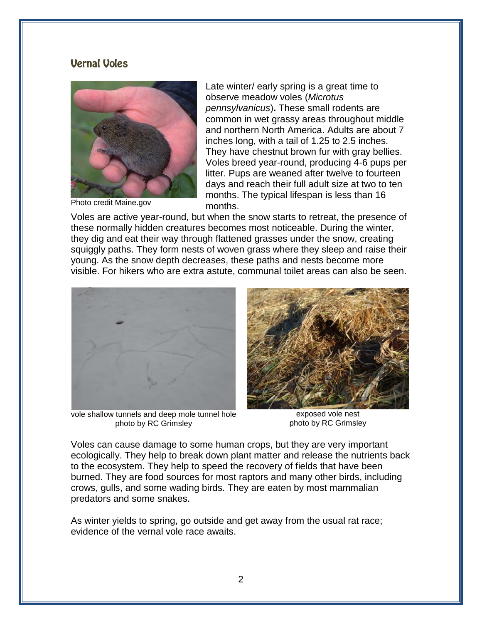### **Vernal Voles**



Photo credit Maine.gov

Late winter/ early spring is a great time to observe meadow voles (*Microtus pennsylvanicus*)**.** These small rodents are common in wet grassy areas throughout middle and northern North America. Adults are about 7 inches long, with a tail of 1.25 to 2.5 inches. They have chestnut brown fur with gray bellies. Voles breed year-round, producing 4-6 pups per litter. Pups are weaned after twelve to fourteen days and reach their full adult size at two to ten months. The typical lifespan is less than 16 months.

Voles are active year-round, but when the snow starts to retreat, the presence of these normally hidden creatures becomes most noticeable. During the winter, they dig and eat their way through flattened grasses under the snow, creating squiggly paths. They form nests of woven grass where they sleep and raise their young. As the snow depth decreases, these paths and nests become more visible. For hikers who are extra astute, communal toilet areas can also be seen.



vole shallow tunnels and deep mole tunnel hole photo by RC Grimsley



exposed vole nest photo by RC Grimsley

Voles can cause damage to some human crops, but they are very important ecologically. They help to break down plant matter and release the nutrients back to the ecosystem. They help to speed the recovery of fields that have been burned. They are food sources for most raptors and many other birds, including crows, gulls, and some wading birds. They are eaten by most mammalian predators and some snakes.

As winter yields to spring, go outside and get away from the usual rat race; evidence of the vernal vole race awaits.